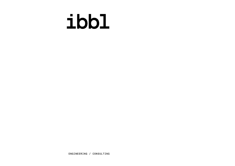# ibb1

ENGINEERING / CONSULTING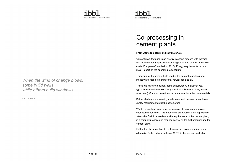



### Co-processing in cement plants

#### From waste to energy and raw materials

Cement manufacturing is an energy-intensive process with thermal and electric energy typically accounting for 40% to 50% of production costs (European Commission, 2010). Energy requirements have a major impact on the operating expenditure.

Traditionally, the primary fuels used in the cement manufacturing industry are coal, petroleum coke, natural gas and oil.

These fuels are increasingly being substituted with alternatives, typically residue-based sources (municipal solid waste, tires, waste wood, etc.). Some of these fuels include also alternative raw materials.

Before starting co-processing waste in cement manufacturing, basic quality requirements must be considered;

Waste presents a large variety in terms of physical properties and chemical composition. This means that preparation of an appropriate alternative fuel, in accordance with requirements of the cement plant, is a complex process and requires control by the fuel producer and the cement plant.

IBBL offers the know-how to professionally evaluate and implement alternative fuels and raw materials (AFR) in the cement production.

When the wind of change blows, some build walls while others build windmills.

Old proverb.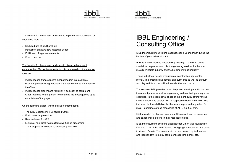



The benefits for the cement producers to implement co-processing of alternative fuels are

- Reduced use of traditional fuel
- Reduction of natural raw materials usage
- Fulfillment of legal requirements
- Cost reduction

The benefits for the cement producers to hire an independent company like IBBL for implementation of co-processing of alternative fuels are

- Independence from suppliers means freedom in selection of optimum process fitting precisely to the requirements and needs of the Client
- Independence also means flexibility in selection of equipment
- Clear roadmap for the project from starting the investigations up to completion of the project

On the following pages, we would like to inform about

- The IBBL Engineering / Consulting Office
- Environmental protection
- Raw materials for AFR
- Example: municipal waste alternative fuel co-processing
- The 6 steps to implement co-processing with IBBL

### IBBL Engineering / Consulting Office

IBBL Ingenieurbüro Brkic und Labenbacher is your partner during the lifetime of your industrial plant.

IBBL is a state-licensed Austrian Engineering / Consulting Office specialized in process and plant engineering services for the nonmetallic minerals industry and the building material industry.

These industries include production of construction aggregates, mortar, lime products like cement and burnt lime as well as gypsum and clay and its products like dry-walls, tiles and bricks.

The services IBBL provides cover the project development in the preinvestment phase as well as engineering and monitoring during project execution. In the operational phase of the plant, IBBL offers various kinds of audits and studies with its respective expert know-how. This includes plant rehabilitation, bottle-neck analysis and upgrades. Of major importance are co-processing of AFR, e.g. fuel shift.

IBBL provides reliable services to our Clients with proven personnel and experienced experts in their respective fields.

IBBL Ingenieurbüro Brkic und Labenbacher GmbH was founded by Dipl.-Ing. Milan Brkic and Dipl.-Ing. Wolfgang Labenbacher. It is based in Vienna, Austria. The company is privately owned by its founders and independent from any equipment suppliers, banks, etc.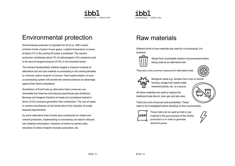



### Environmental protection

Environmental protection is important for all of us. With current emission levels of green-house gases, a global temperature increase of about 2°C in the coming 20 years is predicted. The cement production contributes about 7% of anthropogenic CO2 emissions and is the second-largest producer of  $CO<sub>2</sub>$  in the industrial sector.

The Cement Sustainability Initiative targets a massive increase of alternative fuel and raw material co-processing in the coming decades to minimize carbon footprint of cement. Fast implementation of such co-processing system will provide the cement producer an advantage against their direct competitors.

Substitution of fossil fuels by alternative fuels conserves nonrenewable fuel reserves and reduces greenhouse gas emissions. Biomass and biogenic fractions of waste are considered neutral in terms of CO<sub>2</sub> emission generation from combustion. The use of waste in cement manufacture as fuel leads also to the reduction of waste disposal requirements.

As some alternative fuels include also constituents for clinker and cement production, implementing co-processing can lead to reduced raw material consumption, reduction of clinker-to-cement ratio, reduction of carbon footprint of power production, etc.

### Raw materials

Different kinds of raw materials are used for co-processing. For example:



Waste from municipality needs to be processed before being used as an alternative fuel.

Tires are a very common resource for alternative fuels.





Biological waste e.g. remains from crop or animal

farming, sludge from waste-water treatment plants, etc. is a source.

All these materials are used to replace the traditional fuels like oil, coal, gas and pet-coke.

There are a lot of sources and possibilities. These need to be investigated before deciding on the co-processing.



These fuels can be used as fuel or raw material in the pyro-process of the clinker production or in order to generate electrical power.

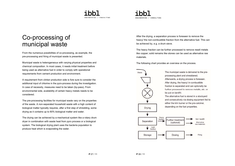# **ENGTNEERTNG / CONSULTING**



### Co-processing of municipal waste

From the numerous possibilities of co-processing, as example, the pre-processing and firing of municipal waste is presented.

Municipal waste is heterogeneous with varying physical properties and chemical composition. In most cases, it needs initial treatment before being used as alternative fuel in order to comply with operational requirements from cement production and environment.

A requirement from clinker production side is fore sure to consider the additional input of chlorine in the pyro-process during the investigation. In case of necessity, measures need to be taken (by-pass). From environmental side, availability of certain heavy metals needs to be considered.

The pre-processing facilities for municipal waste vary on the properties of the waste. A non-separated household waste with a high content of biological matter typically requires, after a first step of shredding, some drying as it contains up to 80% biological matter and water.

The drying can be achieved by a mechanical system like a rotary drum dryer in combination with waste heat from pyro process or a biological system. The biological drying plant uses the bacteria population to produce heat which is evaporating the water.

After the drying, a separation process is foreseen to remove the heavy/ the non-combustible fraction from the alternative fuel. This can be achieved by, e.g. a drum sieve.

The heavy fraction can be further processed to remove resell metals like copper; solid remains like stones can be used as alternative raw materials.

The following chart provides an overview on the process.

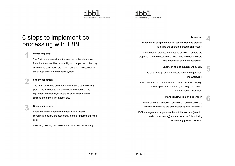# **ENGTNEERTNG / CONSULTING**



### 6 steps to implement coprocessing with IBBL

#### **Waste mapping**

The first step is to evaluate the sources of the alternative fuels; i.e. the quantities, availability and properties, collecting system and conditions, etc. This information is essential for the design of the co-processing system.

### 2

#### Site investigation

The team of experts evaluate the conditions at the existing plant. This includes to evaluate available space for the equipment installation, evaluate existing machinery for abilities of co-firing, limitations, etc.

### 3 Basic engineering

Basic engineering combines process calculations, conceptual design, project schedule and estimation of project costs.

Basic engineering can be extended to full feasibility study.

#### **Tendering**

4

5

6

Tendering of equipment supply, construction and erection following the approved production process.

The tendering process is managed by IBBL. Tenders are prepared, offers compared and negotiated in order to secure implementation of the project targets.

#### Engineering and equipment supply

The detail design of the project is done, the equipment manufactured.

IBBL manages and monitors the project. This includes, e.g. follow-up on time schedule, drawings review and manufacturing inspection.

#### Plant construction and operation

Installation of the supplied equipment, modification of the existing system and the commissioning are carried out.

IBBL manages site, supervises the activities on site (erection and commissioning) and supports the Client during establishing proper operation.